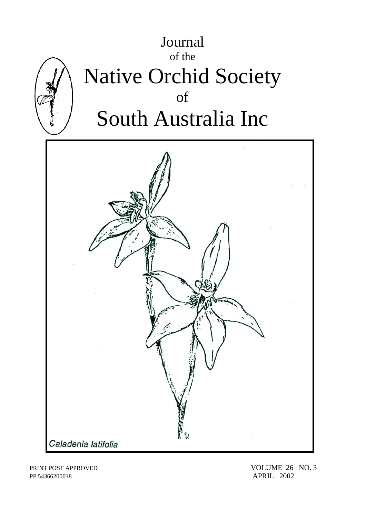

PP 54366200018 APRIL 2002

PRINT POST APPROVED VOLUME 26 NO. 3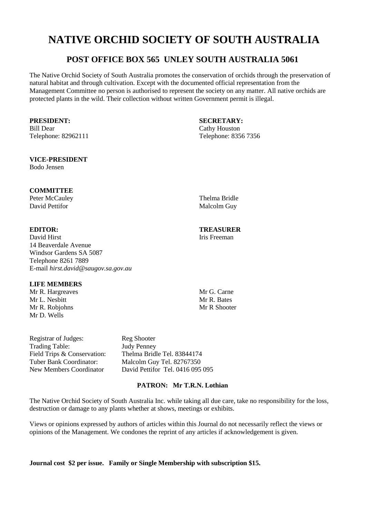# **NATIVE ORCHID SOCIETY OF SOUTH AUSTRALIA**

# **POST OFFICE BOX 565 UNLEY SOUTH AUSTRALIA 5061**

The Native Orchid Society of South Australia promotes the conservation of orchids through the preservation of natural habitat and through cultivation. Except with the documented official representation from the Management Committee no person is authorised to represent the society on any matter. All native orchids are protected plants in the wild. Their collection without written Government permit is illegal.

Bill Dear Cathy Houston

# **VICE-PRESIDENT**

Bodo Jensen

# **COMMITTEE**

Peter McCauley Thelma Bridle David Pettifor Malcolm Guy

David Hirst **Iris** Freeman 14 Beaverdale Avenue Windsor Gardens SA 5087 Telephone 8261 7889 E-mail *hirst.david@saugov.sa.gov.au*

# **LIFE MEMBERS**

Mr R. Hargreaves Mr G. Carne<br>Mr J. Neshitt Mr R. Bates Mr L. Nesbitt Mr R. Robiohns Mr R Shooter Mr D. Wells

Registrar of Judges: Reg Shooter Trading Table: Judy Penney

Field Trips & Conservation: Thelma Bridle Tel. 83844174<br>
Tuber Bank Coordinator: Malcolm Guy Tel. 82767350 Malcolm Guy Tel. 82767350 New Members Coordinator David Pettifor Tel. 0416 095 095

# **PATRON: Mr T.R.N. Lothian**

The Native Orchid Society of South Australia Inc. while taking all due care, take no responsibility for the loss, destruction or damage to any plants whether at shows, meetings or exhibits.

Views or opinions expressed by authors of articles within this Journal do not necessarily reflect the views or opinions of the Management. We condones the reprint of any articles if acknowledgement is given.

**Journal cost \$2 per issue. Family or Single Membership with subscription \$15.** 

**PRESIDENT: SECRETARY:** Telephone: 82962111 Telephone: 8356 7356

# **EDITOR: TREASURER**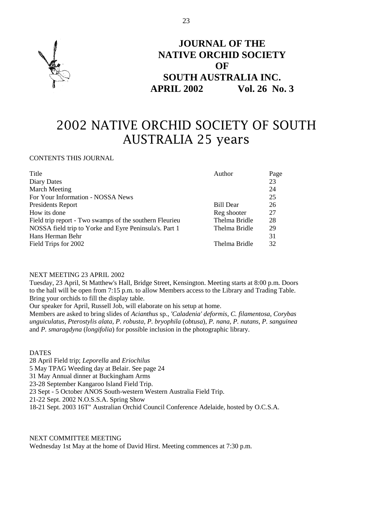

# **JOURNAL OF THE NATIVE ORCHID SOCIETY OF SOUTH AUSTRALIA INC. APRIL 2002 Vol. 26 No. 3**

# 2002 NATIVE ORCHID SOCIETY OF SOUTH AUSTRALIA 25 years

# CONTENTS THIS JOURNAL

| Title                                                   | Author        | Page |
|---------------------------------------------------------|---------------|------|
| Diary Dates                                             |               | 23   |
| <b>March Meeting</b>                                    |               | 24   |
| For Your Information - NOSSA News                       |               | 25   |
| Presidents Report                                       | Bill Dear     | 26   |
| How its done                                            | Reg shooter   | 27   |
| Field trip report - Two swamps of the southern Fleurieu | Thelma Bridle | 28   |
| NOSSA field trip to Yorke and Eyre Peninsula's. Part 1  | Thelma Bridle | 29   |
| Hans Herman Behr                                        |               | 31   |
| Field Trips for 2002                                    | Thelma Bridle | 32   |

#### NEXT MEETING 23 APRIL 2002

Tuesday, 23 April, St Matthew's Hall, Bridge Street, Kensington. Meeting starts at 8:00 p.m. Doors to the hall will be open from 7:15 p.m. to allow Members access to the Library and Trading Table. Bring your orchids to fill the display table.

Our speaker for April, Russell Job, will elaborate on his setup at home.

Members are asked to bring slides of *Acianthus* sp., *'Caladenia' deformis*, *C. filamentosa, Corybas unguiculatus*, *Pterostylis alata, P. robusta, P. bryophila* (*obtusa*), *P. nana, P. nutans, P. sanguinea* and *P. smaragdyna* (*longifolia*) for possible inclusion in the photographic library.

### DATES

28 April Field trip; *Leporella* and *Eriochilus*

5 May TPAG Weeding day at Belair. See page 24

31 May Annual dinner at Buckingham Arms

23-28 September Kangaroo Island Field Trip.

23 Sept - 5 October ANOS South-western Western Australia Field Trip.

21-22 Sept. 2002 N.O.S.S.A. Spring Show

18-21 Sept. 2003 16T" Australian Orchid Council Conference Adelaide, hosted by O.C.S.A.

# NEXT COMMITTEE MEETING

Wednesday 1st May at the home of David Hirst. Meeting commences at 7:30 p.m.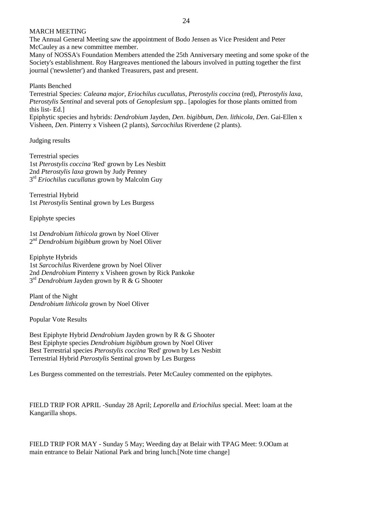### MARCH MEETING

The Annual General Meeting saw the appointment of Bodo Jensen as Vice President and Peter McCauley as a new committee member.

Many of NOSSA's Foundation Members attended the 25th Anniversary meeting and some spoke of the Society's establishment. Roy Hargreaves mentioned the labours involved in putting together the first journal ('newsletter') and thanked Treasurers, past and present.

Plants Benched

Terrestrial Species: *Caleana major, Eriochilus cucullatus, Pterostylis coccina* (red), *Pterostylis laxa*, *Pterostylis Sentinal* and several pots of *Genoplesium* spp.. [apologies for those plants omitted from this list- Ed.]

Epiphytic species and hybrids: *Dendrobium* Jayden, *Den*. *bigibbum*, *Den*. *lithicola*, *Den*. Gai-Ellen x Visheen, *Den*. Pinterry x Visheen (2 plants), *Sarcochilus* Riverdene (2 plants).

Judging results

Terrestrial species 1st *Pterostylis coccina* 'Red' grown by Les Nesbitt 2nd *Pterostylis laxa* grown by Judy Penney 3 rd *Eriochilus cucullatus* grown by Malcolm Guy

Terrestrial Hybrid 1st *Pterostylis* Sentinal grown by Les Burgess

Epiphyte species

1st *Dendrobium lithicola* grown by Noel Oliver 2 nd *Dendrobium bigibbum* grown by Noel Oliver

Epiphyte Hybrids 1st *Sarcochilus* Riverdene grown by Noel Oliver 2nd *Dendrobium* Pinterry x Visheen grown by Rick Pankoke 3<sup>rd</sup> Dendrobium Jayden grown by R & G Shooter

Plant of the Night *Dendrobium lithicola* grown by Noel Oliver

Popular Vote Results

Best Epiphyte Hybrid *Dendrobium* Jayden grown by R & G Shooter Best Epiphyte species *Dendrobium bigibbum* grown by Noel Oliver Best Terrestrial species *Pterostylis coccina* 'Red' grown by Les Nesbitt Terrestrial Hybrid *Pterostylis* Sentinal grown by Les Burgess

Les Burgess commented on the terrestrials. Peter McCauley commented on the epiphytes.

FIELD TRIP FOR APRIL -Sunday 28 April; *Leporella* and *Eriochilus* special. Meet: loam at the Kangarilla shops.

FIELD TRIP FOR MAY - Sunday 5 May; Weeding day at Belair with TPAG Meet: 9.OOam at main entrance to Belair National Park and bring lunch.[Note time change]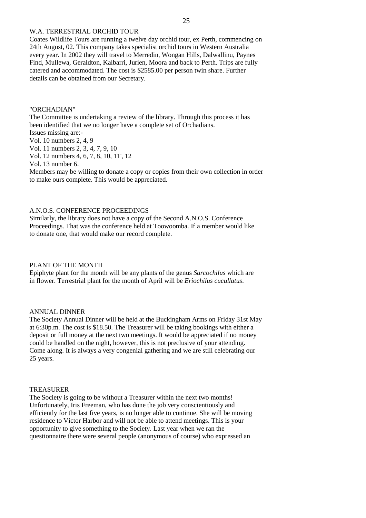# W.A. TERRESTRIAL ORCHID TOUR

Coates Wildlife Tours are running a twelve day orchid tour, ex Perth, commencing on 24th August, 02. This company takes specialist orchid tours in Western Australia every year. In 2002 they will travel to Merredin, Wongan Hills, Dalwallinu, Paynes Find, Mullewa, Geraldton, Kalbarri, Jurien, Moora and back to Perth. Trips are fully catered and accommodated. The cost is \$2585.00 per person twin share. Further details can be obtained from our Secretary.

#### "ORCHADIAN"

The Committee is undertaking a review of the library. Through this process it has been identified that we no longer have a complete set of Orchadians. Issues missing are:-

Vol. 10 numbers 2, 4, 9

Vol. 11 numbers 2, 3, 4, 7, 9, 10

Vol. 12 numbers 4, 6, 7, 8, 10, 11', 12

Vol. 13 number 6.

Members may be willing to donate a copy or copies from their own collection in order to make ours complete. This would be appreciated.

#### A.N.O.S. CONFERENCE PROCEEDINGS

Similarly, the library does not have a copy of the Second A.N.O.S. Conference Proceedings. That was the conference held at Toowoomba. If a member would like to donate one, that would make our record complete.

#### PLANT OF THE MONTH

Epiphyte plant for the month will be any plants of the genus *Sarcochilus* which are in flower. Terrestrial plant for the month of April will be *Eriochilus cucullatus*.

#### ANNUAL DINNER

The Society Annual Dinner will be held at the Buckingham Arms on Friday 31st May at 6:30p.m. The cost is \$18.50. The Treasurer will be taking bookings with either a deposit or full money at the next two meetings. It would be appreciated if no money could be handled on the night, however, this is not preclusive of your attending. Come along. It is always a very congenial gathering and we are still celebrating our 25 years.

### **TREASURER**

The Society is going to be without a Treasurer within the next two months! Unfortunately, Iris Freeman, who has done the job very conscientiously and efficiently for the last five years, is no longer able to continue. She will be moving residence to Victor Harbor and will not be able to attend meetings. This is your opportunity to give something to the Society. Last year when we ran the questionnaire there were several people (anonymous of course) who expressed an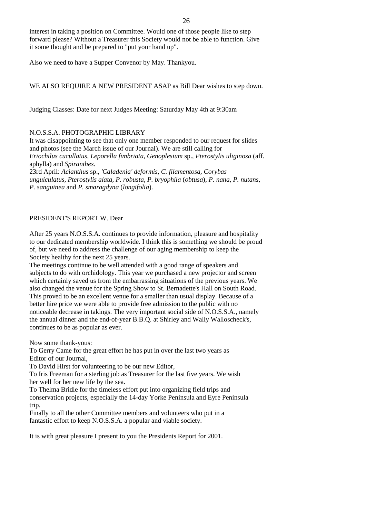interest in taking a position on Committee. Would one of those people like to step forward please? Without a Treasurer this Society would not be able to function. Give it some thought and be prepared to "put your hand up".

Also we need to have a Supper Convenor by May. Thankyou.

# WE ALSO REQUIRE A NEW PRESIDENT ASAP as Bill Dear wishes to step down.

Judging Classes: Date for next Judges Meeting: Saturday May 4th at 9:30am

#### N.O.S.S.A. PHOTOGRAPHIC LIBRARY

It was disappointing to see that only one member responded to our request for slides and photos (see the March issue of our Journal). We are still calling for *Eriochilus cucullatus, Leporella fimbriata, Genoplesium* sp., *Pterostylis uliginosa* (aff. aphylla) and *Spiranthes*. 23rd April: *Acianthus* sp., *'Caladenia' deformis*, *C. filamentosa, Corybas unguiculatus, Pterostylis alata, P. robusta, P. bryophila* (*obtusa*), *P. nana, P. nutans*, *P. sanguinea* and *P. smaragdyna* (*longifolia*).

# PRESIDENT'S REPORT W. Dear

After 25 years N.O.S.S.A. continues to provide information, pleasure and hospitality to our dedicated membership worldwide. I think this is something we should be proud of, but we need to address the challenge of our aging membership to keep the Society healthy for the next 25 years.

The meetings continue to be well attended with a good range of speakers and subjects to do with orchidology. This year we purchased a new projector and screen which certainly saved us from the embarrassing situations of the previous years. We also changed the venue for the Spring Show to St. Bernadette's Hall on South Road. This proved to be an excellent venue for a smaller than usual display. Because of a better hire price we were able to provide free admission to the public with no noticeable decrease in takings. The very important social side of N.O.S.S.A., namely the annual dinner and the end-of-year B.B.Q. at Shirley and Wally Walloscheck's, continues to be as popular as ever.

Now some thank-yous:

To Gerry Came for the great effort he has put in over the last two years as Editor of our Journal,

To David Hirst for volunteering to be our new Editor,

To Iris Freeman for a sterling job as Treasurer for the last five years. We wish her well for her new life by the sea.

To Thelma Bridle for the timeless effort put into organizing field trips and conservation projects, especially the 14-day Yorke Peninsula and Eyre Peninsula trip.

Finally to all the other Committee members and volunteers who put in a fantastic effort to keep N.O.S.S.A. a popular and viable society.

It is with great pleasure I present to you the Presidents Report for 2001.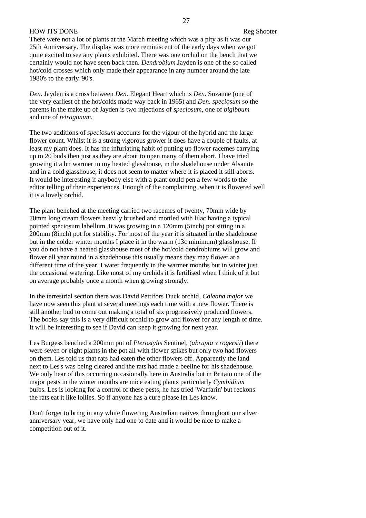### HOW ITS DONE Reg Shooter

There were not a lot of plants at the March meeting which was a pity as it was our 25th Anniversary. The display was more reminiscent of the early days when we got quite excited to see any plants exhibited. There was one orchid on the bench that we certainly would not have seen back then. *Dendrobium* Jayden is one of the so called hot/cold crosses which only made their appearance in any number around the late 1980's to the early '90's.

*Den*. Jayden is a cross between *Den*. Elegant Heart which is *Den*. Suzanne (one of the very earliest of the hot/colds made way back in 1965) and *Den. speciosum* so the parents in the make up of Jayden is two injections of *speciosum*, one of *bigibbum* and one of *tetragonum*.

The two additions of *speciosum* accounts for the vigour of the hybrid and the large flower count. Whilst it is a strong vigorous grower it does have a couple of faults, at least my plant does. It has the infuriating habit of putting up flower racemes carrying up to 20 buds then just as they are about to open many of them abort. I have tried growing it a bit warmer in my heated glasshouse, in the shadehouse under Alsanite and in a cold glasshouse, it does not seem to matter where it is placed it still aborts. It would be interesting if anybody else with a plant could pen a few words to the editor telling of their experiences. Enough of the complaining, when it is flowered well it is a lovely orchid.

The plant benched at the meeting carried two racemes of twenty, 70mm wide by 70mm long cream flowers heavily brushed and mottled with lilac having a typical pointed speciosum labellum. It was growing in a 120mm (5inch) pot sitting in a 200mm (8inch) pot for stability. For most of the year it is situated in the shadehouse but in the colder winter months I place it in the warm (13c minimum) glasshouse. If you do not have a heated glasshouse most of the hot/cold dendrobiums will grow and flower all year round in a shadehouse this usually means they may flower at a different time of the year. I water frequently in the warmer months but in winter just the occasional watering. Like most of my orchids it is fertilised when I think of it but on average probably once a month when growing strongly.

In the terrestrial section there was David Pettifors Duck orchid, *Caleana major* we have now seen this plant at several meetings each time with a new flower. There is still another bud to come out making a total of six progressively produced flowers. The books say this is a very difficult orchid to grow and flower for any length of time. It will be interesting to see if David can keep it growing for next year.

Les Burgess benched a 200mm pot of *Pterostylis* Sentinel, (*abrupta x rogersii*) there were seven or eight plants in the pot all with flower spikes but only two had flowers on them. Les told us that rats had eaten the other flowers off. Apparently the land next to Les's was being cleared and the rats had made a beeline for his shadehouse. We only hear of this occurring occasionally here in Australia but in Britain one of the major pests in the winter months are mice eating plants particularly *Cymbidium* bulbs. Les is looking for a control of these pests, he has tried 'Warfarin' but reckons the rats eat it like lollies. So if anyone has a cure please let Les know.

Don't forget to bring in any white flowering Australian natives throughout our silver anniversary year, we have only had one to date and it would be nice to make a competition out of it.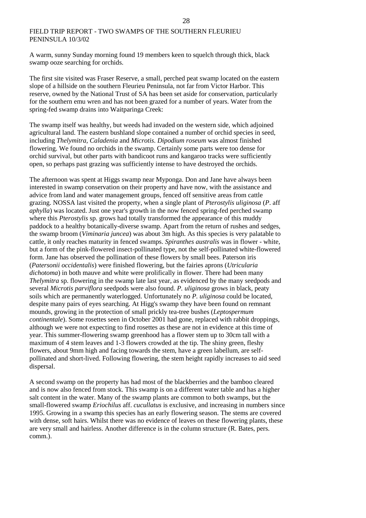# FIELD TRIP REPORT - TWO SWAMPS OF THE SOUTHERN FLEURIEU PENINSULA 10/3/02

A warm, sunny Sunday morning found 19 members keen to squelch through thick, black swamp ooze searching for orchids.

The first site visited was Fraser Reserve, a small, perched peat swamp located on the eastern slope of a hillside on the southern Fleurieu Peninsula, not far from Victor Harbor. This reserve, owned by the National Trust of SA has been set aside for conservation, particularly for the southern emu wren and has not been grazed for a number of years. Water from the spring-fed swamp drains into Waitparinga Creek:

The swamp itself was healthy, but weeds had invaded on the western side, which adjoined agricultural land. The eastern bushland slope contained a number of orchid species in seed, including *Thelymitra, Caladenia* and *Microtis*. *Dipodium roseum* was almost finished flowering. We found no orchids in the swamp. Certainly some parts were too dense for orchid survival, but other parts with bandicoot runs and kangaroo tracks were sufficiently open, so perhaps past grazing was sufficiently intense to have destroyed the orchids.

The afternoon was spent at Higgs swamp near Myponga. Don and Jane have always been interested in swamp conservation on their property and have now, with the assistance and advice from land and water management groups, fenced off sensitive areas from cattle grazing. NOSSA last visited the property, when a single plant of *Pterostylis uliginosa* (*P*. aff *aphylla*) was located. Just one year's growth in the now fenced spring-fed perched swamp where this *Pterostylis* sp. grows had totally transformed the appearance of this muddy paddock to a healthy botanically-diverse swamp. Apart from the return of rushes and sedges, the swamp broom (*Viminaria juncea*) was about 3m high. As this species is very palatable to cattle, it only reaches maturity in fenced swamps. *Spiranthes australis* was in flower - white, but a form of the pink-flowered insect-pollinated type, not the self-pollinated white-flowered form. Jane has observed the pollination of these flowers by small bees. Paterson iris (*Patersonii occidentalis*) were finished flowering, but the fairies aprons (*Utricularia dichotoma*) in both mauve and white were prolifically in flower. There had been many *Thelymitra* sp. flowering in the swamp late last year, as evidenced by the many seedpods and several *Microtis parviflora* seedpods were also found. *P. uliginosa* grows in black, peaty soils which are permanently waterlogged. Unfortunately no *P. uliginosa* could be located, despite many pairs of eyes searching. At Higg's swamp they have been found on remnant mounds, growing in the protection of small prickly tea-tree bushes (*Leptospermum continentale*). Some rosettes seen in October 2001 had gone, replaced with rabbit droppings, although we were not expecting to find rosettes as these are not in evidence at this time of year. This summer-flowering swamp greenhood has a flower stem up to 30cm tall with a maximum of 4 stem leaves and 1-3 flowers crowded at the tip. The shiny green, fleshy flowers, about 9mm high and facing towards the stem, have a green labellum, are selfpollinated and short-lived. Following flowering, the stem height rapidly increases to aid seed dispersal.

A second swamp on the property has had most of the blackberries and the bamboo cleared and is now also fenced from stock. This swamp is on a different water table and has a higher salt content in the water. Many of the swamp plants are common to both swamps, but the small-flowered swamp *Eriochilus* aff. *cucullatus* is exclusive, and increasing in numbers since 1995. Growing in a swamp this species has an early flowering season. The stems are covered with dense, soft hairs. Whilst there was no evidence of leaves on these flowering plants, these are very small and hairless. Another difference is in the column structure (R. Bates, pers. comm.).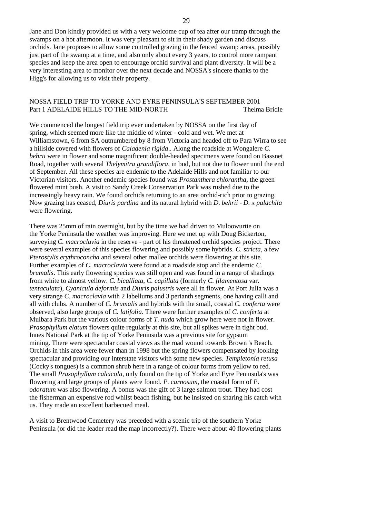Jane and Don kindly provided us with a very welcome cup of tea after our tramp through the swamps on a hot afternoon. It was very pleasant to sit in their shady garden and discuss orchids. Jane proposes to allow some controlled grazing in the fenced swamp areas, possibly just part of the swamp at a time, and also only about every 3 years, to control more rampant species and keep the area open to encourage orchid survival and plant diversity. It will be a very interesting area to monitor over the next decade and NOSSA's sincere thanks to the Higg's for allowing us to visit their property.

### NOSSA FIELD TRIP TO YORKE AND EYRE PENINSULA'S SEPTEMBER 2001 Part 1 ADELAIDE HILLS TO THE MID-NORTH Thelma Bridle

We commenced the longest field trip ever undertaken by NOSSA on the first day of spring, which seemed more like the middle of winter - cold and wet. We met at Williamstown, 6 from SA outnumbered by 8 from Victoria and headed off to Para Wirra to see a hillside covered with flowers of *Caladenia rigida*.. Along the roadside at Wongalere *C*. *behrii* were in flower and some magnificent double-headed specimens were found on Bassnet Road, together with several *Thelymitra grandiflora*, in bud, but not due to flower until the end of September. All these species are endemic to the Adelaide Hills and not familiar to our Victorian visitors. Another endemic species found was *Prostanthera chlorantha*, the green flowered mint bush. A visit to Sandy Creek Conservation Park was rushed due to the increasingly heavy rain. We found orchids returning to an area orchid-rich prior to grazing. Now grazing has ceased, *Diuris pardina* and its natural hybrid with *D*. *behrii* - *D. x palachila* were flowering.

There was 25mm of rain overnight, but by the time we had driven to Muloowurtie on the Yorke Peninsula the weather was improving. Here we met up with Doug Bickerton, surveying *C. macroclavia* in the reserve - part of his threatened orchid species project. There were several examples of this species flowering and possibly some hybrids. *C. stricta*, a few *Pterostylis erythroconcha* and several other mallee orchids were flowering at this site. Further examples of *C. macroclavia* were found at a roadside stop and the endemic *C. brumalis*. This early flowering species was still open and was found in a range of shadings from white to almost yellow. *C. bicalliata*, *C. capillata* (formerly *C. filamentosa* var. *tentaculata*), *Cyanicula deformis* and *Diuris palustris* were all in flower. At Port Julia was a very strange *C. macroclavia* with 2 labellums and 3 perianth segments, one having calli and all with clubs. A number of *C. brumalis* and hybrids with the small, coastal *C. conferta* were observed, also large groups of *C. latifolia*. There were further examples of *C. conferta* at Mulbara Park but the various colour forms of *T. nuda* which grow here were not in flower. *Prasophyllum elatum* flowers quite regularly at this site, but all spikes were in tight bud. Innes National Park at the tip of Yorke Peninsula was a previous site for gypsum mining. There were spectacular coastal views as the road wound towards Brown 's Beach. Orchids in this area were fewer than in 1998 but the spring flowers compensated by looking spectacular and providing our interstate visitors with some new species. *Templetonia retusa* (Cocky's tongues) is a common shrub here in a range of colour forms from yellow to red. The small *Prasophyllum calcicola*, only found on the tip of Yorke and Eyre Peninsula's was flowering and large groups of plants were found. *P. carnosum*, the coastal form of *P*. *odoratum* was also flowering. A bonus was the gift of 3 large salmon trout. They had cost the fisherman an expensive rod whilst beach fishing, but he insisted on sharing his catch with us. They made an excellent barbecued meal.

A visit to Brentwood Cemetery was preceded with a scenic trip of the southern Yorke Peninsula (or did the leader read the map incorrectly?). There were about 40 flowering plants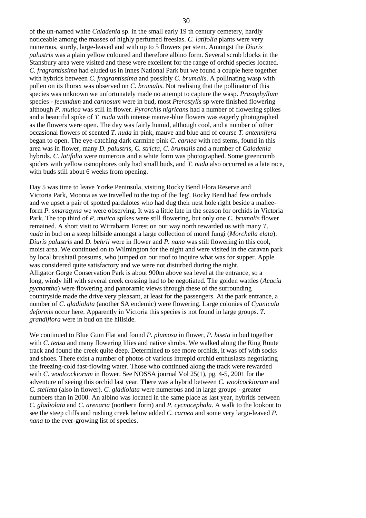of the un-named white *Caladenia* sp. in the small early 19 th century cemetery, hardly noticeable among the masses of highly perfumed freesias. *C. latifolia* plants were very numerous, sturdy, large-leaved and with up to 5 flowers per stem. Amongst the *Diuris palustris* was a plain yellow coloured and therefore albino form. Several scrub blocks in the Stansbury area were visited and these were excellent for the range of orchid species located. *C. fragrantissima* had eluded us in Innes National Park but we found a couple here together with hybrids between *C. fragrantissima* and possibly *C. brumalis*. A pollinating wasp with pollen on its thorax was observed on *C. brumalis*. Not realising that the pollinator of this species was unknown we unfortunately made no attempt to capture the wasp. *Prasophyllum* species - *fecundum* and *carnosum* were in bud, most *Pterostylis* sp were finished flowering although *P. mutica* was still in flower. *Pyrorchis nigricans* had a number of flowering spikes and a beautiful spike of *T. nuda* with intense mauve-blue flowers was eagerly photographed as the flowers were open. The day was fairly humid, although cool, and a number of other occasional flowers of scented *T. nuda* in pink, mauve and blue and of course *T. antennifera* began to open. The eye-catching dark carmine pink *C. carnea* with red stems, found in this area was in flower, many *D. palustris, C. stricta, C. brumalis* and a number of *Caladenia* hybrids. *C. latifolia* were numerous and a white form was photographed. Some greencomb spiders with yellow osmophores only had small buds, and *T. nuda* also occurred as a late race, with buds still about 6 weeks from opening.

Day 5 was time to leave Yorke Peninsula, visiting Rocky Bend Flora Reserve and Victoria Park, Moonta as we travelled to the top of the 'leg'. Rocky Bend had few orchids and we upset a pair of spotted pardalotes who had dug their nest hole right beside a malleeform *P. smaragyna* we were observing. It was a little late in the season for orchids in Victoria Park. The top third of *P. mutica* spikes were still flowering, but only one *C. brumalis* flower remained. A short visit to Wirrabarra Forest on our way north rewarded us with many *T*. *nuda* in bud on a steep hillside amongst a large collection of morel fungi (*Morchella elata*). *Diuris palustris* and *D. behrii* were in flower and *P. nana* was still flowering in this cool, moist area. We continued on to Wilmington for the night and were visited in the caravan park by local brushtail possums, who jumped on our roof to inquire what was for supper. Apple was considered quite satisfactory and we were not disturbed during the night. Alligator Gorge Conservation Park is about 900m above sea level at the entrance, so a long, windy hill with several creek crossing had to be negotiated. The golden wattles (*Acacia pycnantha*) were flowering and panoramic views through these of the surrounding countryside made the drive very pleasant, at least for the passengers. At the park entrance, a number of *C. gladiolata* (another SA endemic) were flowering. Large colonies of *Cyanicula deformis* occur here. Apparently in Victoria this species is not found in large groups. *T. grandiflora* were in bud on the hillside.

We continued to Blue Gum Flat and found *P. plumosa* in flower, *P. biseta* in bud together with *C. tensa* and many flowering lilies and native shrubs. We walked along the Ring Route track and found the creek quite deep. Determined to see more orchids, it was off with socks and shoes. There exist a number of photos of various intrepid orchid enthusiasts negotiating the freezing-cold fast-flowing water. Those who continued along the track were rewarded with *C. woolcockiorum* in flower. See NOSSA journal Vol 25(1), pg. 4-5, 2001 for the adventure of seeing this orchid last year. There was a hybrid between *C. woolcockiorum* and *C. stellata* (also in flower). *C. gladiolata* were numerous and in large groups - greater numbers than in 2000. An albino was located in the same place as last year, hybrids between *C. gladiolata* and *C. arenaria* (northern form) and *P. cycnocephala*. A walk to the lookout to see the steep cliffs and rushing creek below added *C. carnea* and some very largo-leaved *P*. *nana* to the ever-growing list of species.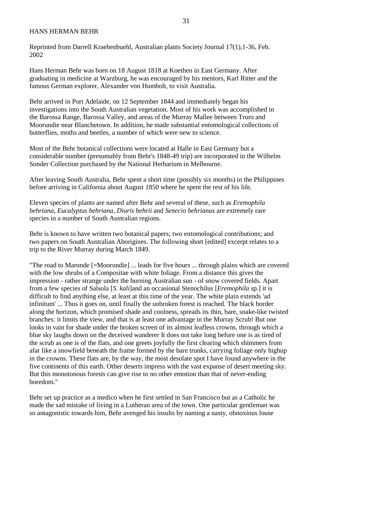#### HANS HERMAN BEHR

Reprinted from Darrell Kraehenbuehl, Australian plants Society Journal 17(1),1-36, Feb. 2002

Hans Herman Behr was born on 18 August 1818 at Koethen in East Germany. After graduating in medicine at Warzburg, he was encouraged by his mentors, Karl Ritter and the famous German explorer, Alexander von Humbolt, to visit Australia.

Behr arrived in Port Adelaide, on 12 September 1844 and immediately began his investigations into the South Australian vegetation. Most of his work was accomplished in the Barossa Range, Barossa Valley, and areas of the Murray Mallee between Truro and Moorundie near Blanchetown. In addition, he made substantial entomological collections of butterflies, moths and beetles, a number of which were new to science.

Most of the Behr botanical collections were located at Halle in East Germany but a considerable number (presumably from Behr's 1848-49 trip) are incorporated in the Wilhelm Sonder Collection purchased by the National Herbarium in Melbourne.

After leaving South Australia, Behr spent a short time (possibly six months) in the Philippines before arriving in California about August 1850 where he spent the rest of his life.

Eleven species of plants are named after Behr and several of these, such as *Eremophila behriana, Eucalyptus behriana, Diuris behrii* and *Senecio behrianus* are extremely rare species in a number of South Australian regions.

Behr is known to have written two botanical papers; two entomological contributions; and two papers on South Australian Aborigines. The following short [edited] excerpt relates to a trip to the River Murray during March 1849.

"The road to Maronde [=Moorundie] ... leads for five hours ... through plains which are covered with the low shrubs of a Compositae with white foliage. From a distance this gives the impression - rather strange under the burning Australian sun - of snow covered fields. Apart from a few species of Salsola [*S. kali*]and an occasional Stenochilus [*Eremophila* sp.] it is difficult to find anything else, at least at this time of the year. The white plain extends 'ad infinitum' ... Thus it goes on, until finally the unbroken forest is reached. The black border along the horizon, which promised shade and coolness, spreads its thin, bare, snake-like twisted branches: it limits the view, and that is at least one advantage in the Murray Scrub! But one looks in vain for shade under the broken screen of its almost leafless crowns, through which a blue sky laughs down on the deceived wanderer It does not take long before one is as tired of the scrub as one is of the flats, and one greets joyfully the first clearing which shimmers from afar like a snowfield beneath the frame formed by the bare trunks, carrying foliage only highup in the crowns. These flats are, by the way, the most desolate spot I have found anywhere in the five continents of this earth. Other deserts impress with the vast expanse of desert meeting sky. But this monotonous forests can give rise to no other emotion than that of never-ending boredom."

Behr set up practice as a medico when he first settled in San Francisco but as a Catholic he made the sad mistake of living in a Lutheran area of the town. One particular gentleman was so antagonistic towards him, Behr avenged his insults by naming a nasty, obnoxious louse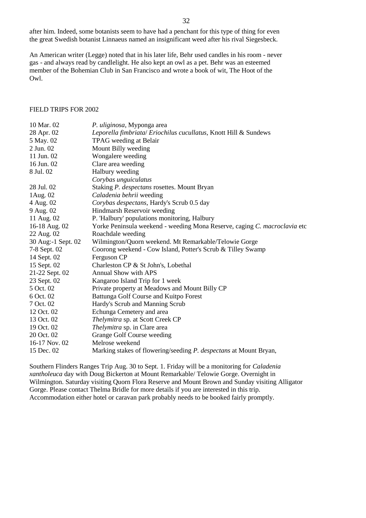after him. Indeed, some botanists seem to have had a penchant for this type of thing for even the great Swedish botanist Linnaeus named an insignificant weed after his rival Siegesbeck.

An American writer (Legge) noted that in his later life, Behr used candles in his room - never gas - and always read by candlelight. He also kept an owl as a pet. Behr was an esteemed member of the Bohemian Club in San Francisco and wrote a book of wit, The Hoot of the Owl.

#### FIELD TRIPS FOR 2002

| 10 Mar. 02         | P. uliginosa, Myponga area                                                |
|--------------------|---------------------------------------------------------------------------|
| 28 Apr. 02         | Leporella fimbriata/ Eriochilus cucullatus, Knott Hill & Sundews          |
| 5 May. 02          | TPAG weeding at Belair                                                    |
| 2 Jun. 02          | Mount Billy weeding                                                       |
| 11 Jun. 02         | Wongalere weeding                                                         |
| 16 Jun. 02         | Clare area weeding                                                        |
| 8 Jul. 02          | Halbury weeding                                                           |
|                    | Corybas unguiculatus                                                      |
| 28 Jul. 02         | Staking P. despectans rosettes. Mount Bryan                               |
| 1Aug. 02           | Caladenia behrii weeding                                                  |
| 4 Aug. 02          | Corybas despectans, Hardy's Scrub 0.5 day                                 |
| 9 Aug. 02          | Hindmarsh Reservoir weeding                                               |
| 11 Aug. 02         | P. 'Halbury' populations monitoring, Halbury                              |
| 16-18 Aug. 02      | Yorke Peninsula weekend - weeding Mona Reserve, caging C. macroclavia etc |
| 22 Aug. 02         | Roachdale weeding                                                         |
| 30 Aug:-1 Sept. 02 | Wilmington/Quorn weekend. Mt Remarkable/Telowie Gorge                     |
| 7-8 Sept. 02       | Coorong weekend - Cow Island, Potter's Scrub & Tilley Swamp               |
| 14 Sept. 02        | Ferguson CP                                                               |
| 15 Sept. 02        | Charleston CP & St John's, Lobethal                                       |
| 21-22 Sept. 02     | <b>Annual Show with APS</b>                                               |
| 23 Sept. 02        | Kangaroo Island Trip for 1 week                                           |
| 5 Oct. 02          | Private property at Meadows and Mount Billy CP                            |
| 6 Oct. 02          | Battunga Golf Course and Kuitpo Forest                                    |
| 7 Oct. 02          | Hardy's Scrub and Manning Scrub                                           |
| 12 Oct. 02         | Echunga Cemetery and area                                                 |
| 13 Oct. 02         | Thelymitra sp. at Scott Creek CP                                          |
| 19 Oct. 02         | Thelymitra sp. in Clare area                                              |
| 20 Oct. 02         | Grange Golf Course weeding                                                |
| 16-17 Nov. 02      | Melrose weekend                                                           |
| 15 Dec. 02         | Marking stakes of flowering/seeding P. despectans at Mount Bryan,         |

Southern Flinders Ranges Trip Aug. 30 to Sept. 1. Friday will be a monitoring for *Caladenia xantholeuca* day with Doug Bickerton at Mount Remarkable/ Telowie Gorge. Overnight in Wilmington. Saturday visiting Quorn Flora Reserve and Mount Brown and Sunday visiting Alligator Gorge. Please contact Thelma Bridle for more details if you are interested in this trip. Accommodation either hotel or caravan park probably needs to be booked fairly promptly.